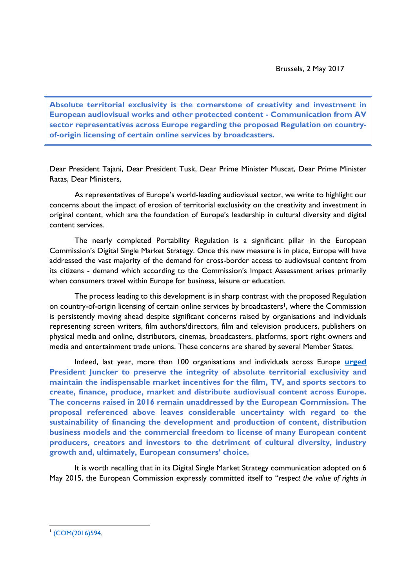**Absolute territorial exclusivity is the cornerstone of creativity and investment in European audiovisual works and other protected content - Communication from AV sector representatives across Europe regarding the proposed Regulation on countryof-origin licensing of certain online services by broadcasters.**

Dear President Tajani, Dear President Tusk, Dear Prime Minister Muscat, Dear Prime Minister Ratas, Dear Ministers,

As representatives of Europe's world-leading audiovisual sector, we write to highlight our concerns about the impact of erosion of territorial exclusivity on the creativity and investment in original content, which are the foundation of Europe's leadership in cultural diversity and digital content services.

The nearly completed Portability Regulation is a significant pillar in the European Commission's Digital Single Market Strategy. Once this new measure is in place, Europe will have addressed the vast majority of the demand for cross-border access to audiovisual content from its citizens - demand which according to the Commission's Impact Assessment arises primarily when consumers travel within Europe for business, leisure or education.

The process leading to this development is in sharp contrast with the proposed Regulation on country-of-origin licensing of certain online services by broadcasters<sup>1</sup>, where the Commission is persistently moving ahead despite significant concerns raised by organisations and individuals representing screen writers, film authors/directors, film and television producers, publishers on physical media and online, distributors, cinemas, broadcasters, platforms, sport right owners and media and entertainment trade unions. These concerns are shared by several Member States.

Indeed, last year, more than 100 organisations and individuals across Europe **[urged](http://www.ivf-video.org/new/public/media/AV_Sector_Letter_to_President_Juncker_and_Commissioners_updated_19_07_2016.pdf) President Juncker to preserve the integrity of absolute territorial exclusivity and maintain the indispensable market incentives for the film, TV, and sports sectors to create, finance, produce, market and distribute audiovisual content across Europe. The concerns raised in 2016 remain unaddressed by the European Commission. The proposal referenced above leaves considerable uncertainty with regard to the sustainability of financing the development and production of content, distribution business models and the commercial freedom to license of many European content producers, creators and investors to the detriment of cultural diversity, industry growth and, ultimately, European consumers' choice.** 

It is worth recalling that in its Digital Single Market Strategy communication adopted on 6 May 2015, the European Commission expressly committed itself to "*respect the value of rights in* 

 $\overline{a}$ 1 [\(COM\(2016\)594.](https://ec.europa.eu/transparency/regdoc/rep/1/2016/EN/1-2016-594-EN-F1-1.PDF)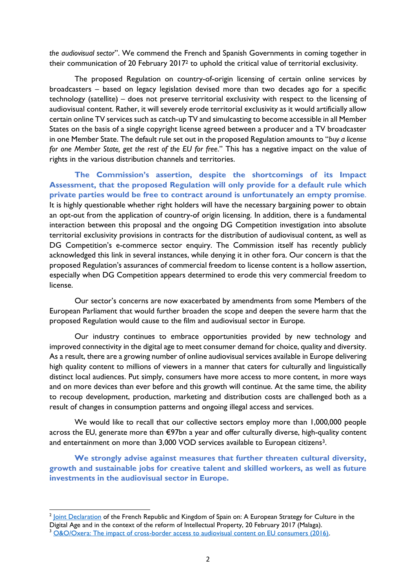*the audiovisual sector*". We commend the French and Spanish Governments in coming together in their communication of 20 February 2017<sup>2</sup> to uphold the critical value of territorial exclusivity.

The proposed Regulation on country-of-origin licensing of certain online services by broadcasters – based on legacy legislation devised more than two decades ago for a specific technology (satellite) – does not preserve territorial exclusivity with respect to the licensing of audiovisual content. Rather, it will severely erode territorial exclusivity as it would artificially allow certain online TV services such as catch-up TV and simulcasting to become accessible in all Member States on the basis of a single copyright license agreed between a producer and a TV broadcaster in one Member State. The default rule set out in the proposed Regulation amounts to "*buy a license for one Member State, get the rest of the EU for free*." This has a negative impact on the value of rights in the various distribution channels and territories.

**The Commission's assertion, despite the shortcomings of its Impact Assessment, that the proposed Regulation will only provide for a default rule which private parties would be free to contract around is unfortunately an empty promise**. It is highly questionable whether right holders will have the necessary bargaining power to obtain an opt-out from the application of country-of origin licensing. In addition, there is a fundamental interaction between this proposal and the ongoing DG Competition investigation into absolute territorial exclusivity provisions in contracts for the distribution of audiovisual content, as well as DG Competition's e-commerce sector enquiry. The Commission itself has recently publicly acknowledged this link in several instances, while denying it in other fora. Our concern is that the proposed Regulation's assurances of commercial freedom to license content is a hollow assertion, especially when DG Competition appears determined to erode this very commercial freedom to license.

Our sector's concerns are now exacerbated by amendments from some Members of the European Parliament that would further broaden the scope and deepen the severe harm that the proposed Regulation would cause to the film and audiovisual sector in Europe.

Our industry continues to embrace opportunities provided by new technology and improved connectivity in the digital age to meet consumer demand for choice, quality and diversity. As a result, there are a growing number of online audiovisual services available in Europe delivering high quality content to millions of viewers in a manner that caters for culturally and linguistically distinct local audiences. Put simply, consumers have more access to more content, in more ways and on more devices than ever before and this growth will continue. At the same time, the ability to recoup development, production, marketing and distribution costs are challenged both as a result of changes in consumption patterns and ongoing illegal access and services.

We would like to recall that our collective sectors employ more than 1,000,000 people across the EU, generate more than €97bn a year and offer culturally diverse, high-quality content and entertainment on more than 3,000 VOD services available to European citizens<sup>3</sup>.

**We strongly advise against measures that further threaten cultural diversity, growth and sustainable jobs for creative talent and skilled workers, as well as future investments in the audiovisual sector in Europe.**

 2 [Joint Declaration](http://www.ambafrance-es.org/XXVe-Sommet-franco-espagnol-Malaga-20-fevrier-2017) of the French Republic and Kingdom of Spain on: A European Strategy for Culture in the Digital Age and in the context of the reform of Intellectual Property, 20 February 2017 (Malaga).

<sup>&</sup>lt;sup>3</sup> [O&O/Oxera: The impact of cross-border access to audiovisual content on EU consumers \(2016\).](http://www.oxera.com/Latest-Thinking/Publications/Reports/2016/The-impact-of-cross-border-access-to-audiovisual-c.aspx)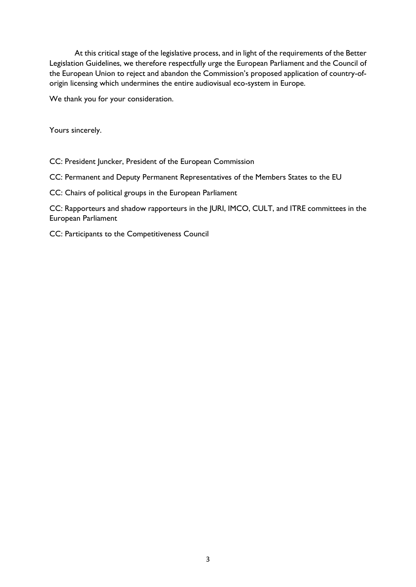At this critical stage of the legislative process, and in light of the requirements of the Better Legislation Guidelines, we therefore respectfully urge the European Parliament and the Council of the European Union to reject and abandon the Commission's proposed application of country-oforigin licensing which undermines the entire audiovisual eco-system in Europe.

We thank you for your consideration.

Yours sincerely.

CC: President Juncker, President of the European Commission

CC: Permanent and Deputy Permanent Representatives of the Members States to the EU

CC: Chairs of political groups in the European Parliament

CC: Rapporteurs and shadow rapporteurs in the JURI, IMCO, CULT, and ITRE committees in the European Parliament

CC: Participants to the Competitiveness Council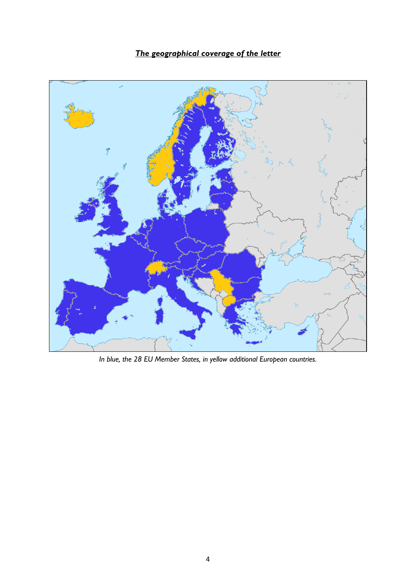## *The geographical coverage of the letter*



*In blue, the 28 EU Member States, in yellow additional European countries.*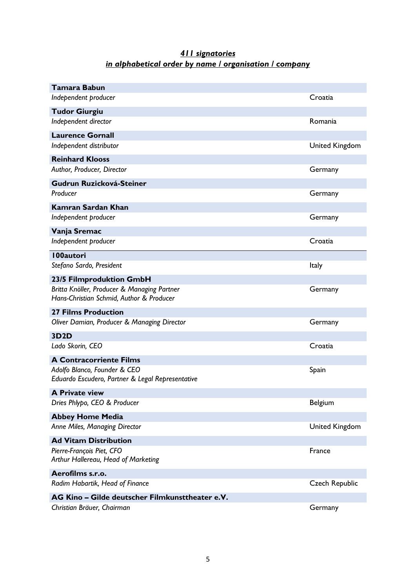## *411 signatories in alphabetical order by name / organisation / company*

| Tamara Babun                                                                            |                       |
|-----------------------------------------------------------------------------------------|-----------------------|
| Independent producer                                                                    | Croatia               |
| <b>Tudor Giurgiu</b>                                                                    |                       |
| Independent director                                                                    | Romania               |
| <b>Laurence Gornall</b>                                                                 |                       |
| Independent distributor                                                                 | <b>United Kingdom</b> |
| <b>Reinhard Klooss</b>                                                                  |                       |
| Author, Producer, Director                                                              | Germany               |
| Gudrun Ruzicková-Steiner                                                                |                       |
| Producer                                                                                | Germany               |
| <b>Kamran Sardan Khan</b>                                                               |                       |
| Independent producer                                                                    | Germany               |
| Vanja Sremac                                                                            |                       |
| Independent producer                                                                    | Croatia               |
| <b>100autori</b>                                                                        |                       |
| Stefano Sardo, President                                                                | Italy                 |
| 23/5 Filmproduktion GmbH                                                                |                       |
| Britta Knöller, Producer & Managing Partner<br>Hans-Christian Schmid, Author & Producer | Germany               |
| <b>27 Films Production</b>                                                              |                       |
| Oliver Damian, Producer & Managing Director                                             | Germany               |
| <b>3D2D</b>                                                                             |                       |
| Lado Skorin, CEO                                                                        | Croatia               |
| <b>A Contracorriente Films</b>                                                          |                       |
| Adolfo Blanco, Founder & CEO<br>Eduardo Escudero, Partner & Legal Representative        | Spain                 |
| <b>A Private view</b>                                                                   |                       |
| Dries Phlypo, CEO & Producer                                                            | Belgium               |
| <b>Abbey Home Media</b>                                                                 |                       |
| Anne Miles, Managing Director                                                           | <b>United Kingdom</b> |
| <b>Ad Vitam Distribution</b>                                                            |                       |
| Pierre-François Piet, CFO<br>Arthur Hallereau, Head of Marketing                        | France                |
| Aerofilms s.r.o.                                                                        |                       |
| Radim Habartik, Head of Finance                                                         | <b>Czech Republic</b> |
| AG Kino - Gilde deutscher Filmkunsttheater e.V.                                         |                       |
| Christian Bräuer, Chairman                                                              | Germany               |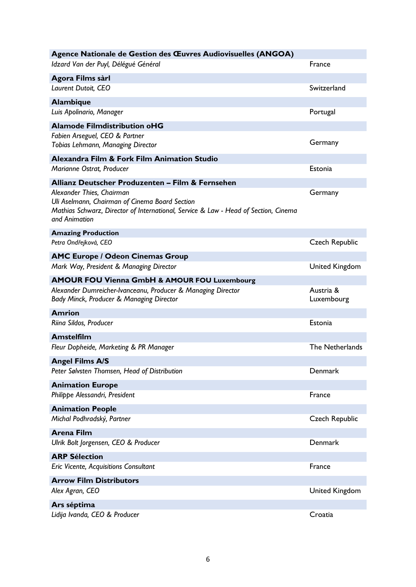| Agence Nationale de Gestion des Œuvres Audiovisuelles (ANGOA)                       |                        |
|-------------------------------------------------------------------------------------|------------------------|
| Idzard Van der Puyl, Délégué Général                                                | France                 |
| Agora Films sàrl                                                                    |                        |
| Laurent Dutoit, CEO                                                                 | Switzerland            |
| <b>Alambique</b>                                                                    |                        |
| Luis Apolinario, Manager                                                            | Portugal               |
| <b>Alamode Filmdistribution oHG</b>                                                 |                        |
| Fabien Arseguel, CEO & Partner                                                      |                        |
| Tobias Lehmann, Managing Director                                                   | Germany                |
| Alexandra Film & Fork Film Animation Studio                                         |                        |
| Marianne Ostrat, Producer                                                           | Estonia                |
| Allianz Deutscher Produzenten - Film & Fernsehen                                    |                        |
| Alexander Thies, Chairman                                                           | Germany                |
| Uli Aselmann, Chairman of Cinema Board Section                                      |                        |
| Mathias Schwarz, Director of International, Service & Law - Head of Section, Cinema |                        |
| and Animation                                                                       |                        |
| <b>Amazing Production</b>                                                           |                        |
| Petra Ondřejková, CEO                                                               | <b>Czech Republic</b>  |
| <b>AMC Europe / Odeon Cinemas Group</b>                                             |                        |
| Mark Way, President & Managing Director                                             | <b>United Kingdom</b>  |
| <b>AMOUR FOU Vienna GmbH &amp; AMOUR FOU Luxembourg</b>                             |                        |
| Alexander Dumreicher-Ivanceanu, Producer & Managing Director                        | Austria &              |
| Bady Minck, Producer & Managing Director                                            | Luxembourg             |
| <b>Amrion</b>                                                                       |                        |
| Riina Sildos, Producer                                                              | Estonia                |
| <b>Amstelfilm</b>                                                                   |                        |
| Fleur Dopheide, Marketing & PR Manager                                              | <b>The Netherlands</b> |
| <b>Angel Films A/S</b>                                                              |                        |
| Peter Sølvsten Thomsen, Head of Distribution                                        | Denmark                |
| <b>Animation Europe</b>                                                             |                        |
| Philippe Alessandri, President                                                      | France                 |
| <b>Animation People</b>                                                             |                        |
| Michal Podhradský, Partner                                                          | <b>Czech Republic</b>  |
| <b>Arena Film</b>                                                                   |                        |
| Ulrik Bolt Jorgensen, CEO & Producer                                                | Denmark                |
| <b>ARP Sélection</b>                                                                |                        |
| Eric Vicente, Acquisitions Consultant                                               | France                 |
| <b>Arrow Film Distributors</b>                                                      |                        |
| Alex Agran, CEO                                                                     | <b>United Kingdom</b>  |
| Ars séptima                                                                         |                        |
| Lidija Ivanda, CEO & Producer                                                       | Croatia                |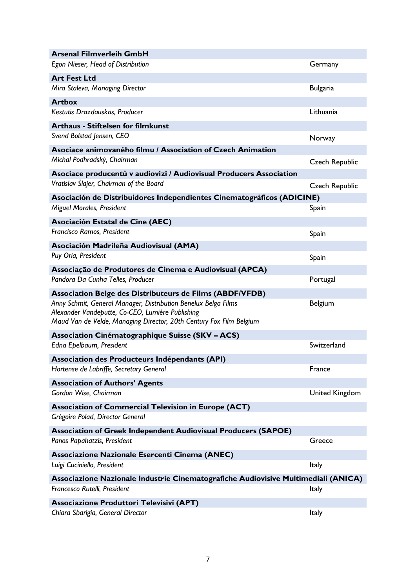| <b>Arsenal Filmverleih GmbH</b>                                                                                         |                       |
|-------------------------------------------------------------------------------------------------------------------------|-----------------------|
| Egon Nieser, Head of Distribution                                                                                       | Germany               |
| <b>Art Fest Ltd</b>                                                                                                     |                       |
| Mira Staleva, Managing Director                                                                                         | <b>Bulgaria</b>       |
| <b>Artbox</b>                                                                                                           |                       |
| Kestutis Drazdauskas, Producer                                                                                          | Lithuania             |
| <b>Arthaus - Stiftelsen for filmkunst</b>                                                                               |                       |
| Svend Bolstad Jensen, CEO                                                                                               | Norway                |
| Asociace animovaného filmu / Association of Czech Animation                                                             |                       |
| Michal Podhradský, Chairman                                                                                             | Czech Republic        |
| Asociace producentů v audiovizi / Audiovisual Producers Association                                                     |                       |
| Vratislav Šlajer, Chairman of the Board                                                                                 | <b>Czech Republic</b> |
| Asociación de Distribuidores Independientes Cinematográficos (ADICINE)                                                  |                       |
| Miguel Morales, President                                                                                               | Spain                 |
| Asociación Estatal de Cine (AEC)                                                                                        |                       |
| Francisco Ramos, President                                                                                              | Spain                 |
| Asociación Madrileña Audiovisual (AMA)                                                                                  |                       |
| Puy Oria, President                                                                                                     | Spain                 |
| Associação de Produtores de Cinema e Audiovisual (APCA)                                                                 |                       |
| Pandora Da Cunha Telles, Producer                                                                                       | Portugal              |
| <b>Association Belge des Distributeurs de Films (ABDF/VFDB)</b>                                                         |                       |
| Anny Schmit, General Manager, Distribution Benelux Belga Films                                                          | Belgium               |
| Alexander Vandeputte, Co-CEO, Lumière Publishing<br>Maud Van de Velde, Managing Director, 20th Century Fox Film Belgium |                       |
| Association Cinématographique Suisse (SKV - ACS)                                                                        |                       |
| Edna Epelbaum, President                                                                                                | Switzerland           |
| Association des Producteurs Indépendants (API)                                                                          |                       |
| Hortense de Labriffe, Secretary General                                                                                 | France                |
| <b>Association of Authors' Agents</b>                                                                                   |                       |
| Gordon Wise, Chairman                                                                                                   | <b>United Kingdom</b> |
| <b>Association of Commercial Television in Europe (ACT)</b>                                                             |                       |
| Grégoire Polad, Director General                                                                                        |                       |
| <b>Association of Greek Independent Audiovisual Producers (SAPOE)</b>                                                   |                       |
| Panos Papahatzis, President                                                                                             | Greece                |
| Associazione Nazionale Esercenti Cinema (ANEC)                                                                          |                       |
| Luigi Cuciniello, President                                                                                             | <b>Italy</b>          |
| Associazione Nazionale Industrie Cinematografiche Audiovisive Multimediali (ANICA)                                      |                       |
| Francesco Rutelli, President                                                                                            | Italy                 |
| <b>Associazione Produttori Televisivi (APT)</b>                                                                         |                       |
| Chiara Sbarigia, General Director                                                                                       | <b>Italy</b>          |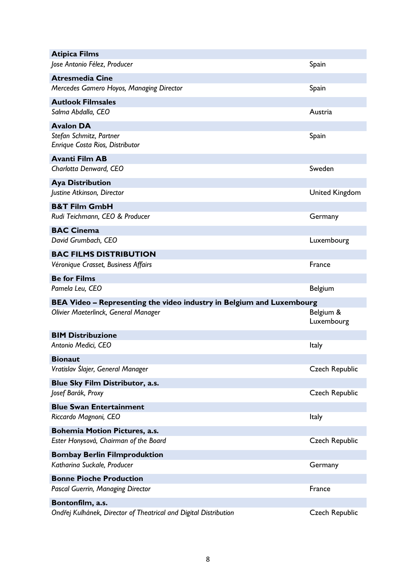| <b>Atipica Films</b>                                                  |                         |
|-----------------------------------------------------------------------|-------------------------|
| Jose Antonio Félez, Producer                                          | Spain                   |
| <b>Atresmedia Cine</b>                                                |                         |
| Mercedes Gamero Hoyos, Managing Director                              | Spain                   |
| <b>Autlook Filmsales</b>                                              |                         |
| Salma Abdalla, CEO                                                    | Austria                 |
| <b>Avalon DA</b>                                                      |                         |
| Stefan Schmitz, Partner                                               | Spain                   |
| Enrique Costa Rios, Distributor                                       |                         |
| <b>Avanti Film AB</b>                                                 |                         |
| Charlotta Denward, CEO                                                | Sweden                  |
| <b>Aya Distribution</b>                                               |                         |
| Justine Atkinson, Director                                            | <b>United Kingdom</b>   |
| <b>B&amp;T Film GmbH</b>                                              |                         |
| Rudi Teichmann, CEO & Producer                                        | Germany                 |
| <b>BAC Cinema</b>                                                     |                         |
| David Grumbach, CEO                                                   | Luxembourg              |
|                                                                       |                         |
| <b>BAC FILMS DISTRIBUTION</b><br>Véronique Crasset, Business Affairs  | France                  |
|                                                                       |                         |
| <b>Be for Films</b>                                                   |                         |
|                                                                       |                         |
| Pamela Leu, CEO                                                       | Belgium                 |
| BEA Video – Representing the video industry in Belgium and Luxembourg |                         |
| Olivier Maeterlinck, General Manager                                  | Belgium &<br>Luxembourg |
| <b>BIM Distribuzione</b>                                              |                         |
| Antonio Medici, CEO                                                   | Italy                   |
|                                                                       |                         |
| <b>Bionaut</b><br>Vratislav Šlajer, General Manager                   | <b>Czech Republic</b>   |
| Blue Sky Film Distributor, a.s.                                       |                         |
| Josef Barák, Proxy                                                    | <b>Czech Republic</b>   |
| <b>Blue Swan Entertainment</b>                                        |                         |
| Riccardo Magnoni, CEO                                                 | Italy                   |
| <b>Bohemia Motion Pictures, a.s.</b>                                  |                         |
| Ester Honysová, Chairman of the Board                                 | <b>Czech Republic</b>   |
| <b>Bombay Berlin Filmproduktion</b>                                   |                         |
| Katharina Suckale, Producer                                           | Germany                 |
| <b>Bonne Pioche Production</b>                                        |                         |
| Pascal Guerrin, Managing Director                                     | France                  |
| Bontonfilm, a.s.                                                      |                         |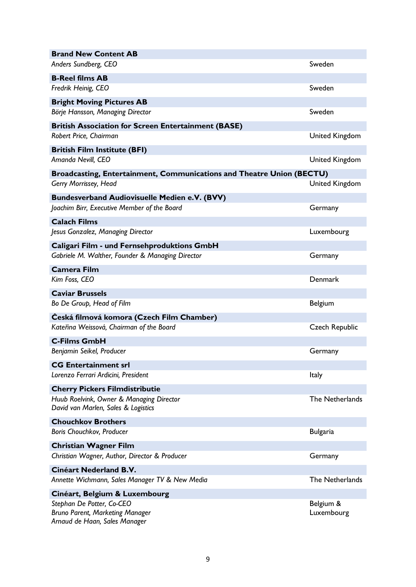| <b>Brand New Content AB</b>                                                                    |                       |
|------------------------------------------------------------------------------------------------|-----------------------|
| Anders Sundberg, CEO                                                                           | Sweden                |
| <b>B-Reel films AB</b>                                                                         |                       |
| Fredrik Heinig, CEO                                                                            | Sweden                |
| <b>Bright Moving Pictures AB</b>                                                               |                       |
| Börje Hansson, Managing Director                                                               | Sweden                |
| <b>British Association for Screen Entertainment (BASE)</b>                                     |                       |
| Robert Price, Chairman                                                                         | <b>United Kingdom</b> |
|                                                                                                |                       |
| <b>British Film Institute (BFI)</b><br>Amanda Nevill, CEO                                      | <b>United Kingdom</b> |
|                                                                                                |                       |
| Broadcasting, Entertainment, Communications and Theatre Union (BECTU)<br>Gerry Morrissey, Head | <b>United Kingdom</b> |
|                                                                                                |                       |
| <b>Bundesverband Audiovisuelle Medien e.V. (BVV)</b>                                           |                       |
| Joachim Birr, Executive Member of the Board                                                    | Germany               |
| <b>Calach Films</b>                                                                            |                       |
| Jesus Gonzalez, Managing Director                                                              | Luxembourg            |
| Caligari Film - und Fernsehproduktions GmbH                                                    |                       |
| Gabriele M. Walther, Founder & Managing Director                                               | Germany               |
| <b>Camera Film</b>                                                                             |                       |
| Kim Foss, CEO                                                                                  | Denmark               |
| <b>Caviar Brussels</b>                                                                         |                       |
| Bo De Group, Head of Film                                                                      | Belgium               |
| Česká filmová komora (Czech Film Chamber)                                                      |                       |
| Kateřina Weissová, Chairman of the Board                                                       | <b>Czech Republic</b> |
| <b>C-Films GmbH</b>                                                                            |                       |
| Benjamin Seikel, Producer                                                                      | Germany               |
| <b>CG Entertainment srl</b>                                                                    |                       |
| Lorenzo Ferrari Ardicini, President                                                            | Italy                 |
| <b>Cherry Pickers Filmdistributie</b>                                                          |                       |
| Huub Roelvink, Owner & Managing Director                                                       | The Netherlands       |
| David van Marlen, Sales & Logistics                                                            |                       |
| <b>Chouchkov Brothers</b>                                                                      |                       |
| Boris Chouchkov, Producer                                                                      | <b>Bulgaria</b>       |
| <b>Christian Wagner Film</b>                                                                   |                       |
| Christian Wagner, Author, Director & Producer                                                  | Germany               |
| Cinéart Nederland B.V.                                                                         |                       |
| Annette Wichmann, Sales Manager TV & New Media                                                 | The Netherlands       |
|                                                                                                |                       |
| Cinéart, Belgium & Luxembourg<br>Stephan De Potter, Co-CEO                                     | Belgium &             |
| Bruno Parent, Marketing Manager                                                                | Luxembourg            |
| Arnaud de Haan, Sales Manager                                                                  |                       |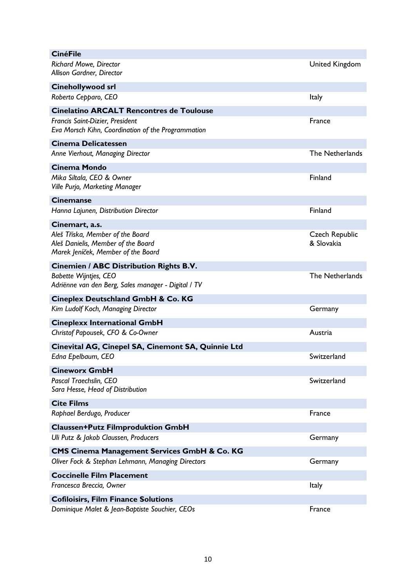| <b>CinéFile</b>                                                                                                                          |                              |
|------------------------------------------------------------------------------------------------------------------------------------------|------------------------------|
| <b>Richard Mowe, Director</b><br>Allison Gardner, Director                                                                               | <b>United Kingdom</b>        |
| Cinehollywood srl                                                                                                                        |                              |
| Roberto Cepparo, CEO                                                                                                                     | <b>Italy</b>                 |
| <b>Cinelatino ARCALT Rencontres de Toulouse</b><br>Francis Saint-Dizier, President<br>Eva Morsch Kihn, Coordination of the Programmation | France                       |
| <b>Cinema Delicatessen</b>                                                                                                               |                              |
| Anne Vierhout, Managing Director                                                                                                         | The Netherlands              |
| <b>Cinema Mondo</b>                                                                                                                      |                              |
| Mika Siltala, CEO & Owner<br>Ville Purjo, Marketing Manager                                                                              | Finland                      |
| <b>Cinemanse</b>                                                                                                                         |                              |
| Hanna Lajunen, Distribution Director                                                                                                     | Finland                      |
| Cinemart, a.s.                                                                                                                           |                              |
| Aleš Tříska, Member of the Board<br>Aleš Danielis, Member of the Board<br>Marek Jeníček, Member of the Board                             | Czech Republic<br>& Slovakia |
| <b>Cinemien / ABC Distribution Rights B.V.</b>                                                                                           |                              |
| <b>Babette Wijntjes, CEO</b><br>Adriënne van den Berg, Sales manager - Digital / TV                                                      | <b>The Netherlands</b>       |
| Cineplex Deutschland GmbH & Co. KG                                                                                                       |                              |
| Kim Ludolf Koch, Managing Director                                                                                                       | Germany                      |
| <b>Cineplexx International GmbH</b>                                                                                                      |                              |
| Christof Papousek, CFO & Co-Owner                                                                                                        | Austria                      |
| Cinevital AG, Cinepel SA, Cinemont SA, Quinnie Ltd                                                                                       |                              |
| Edna Epelbaum, CEO                                                                                                                       | Switzerland                  |
| <b>Cineworx GmbH</b>                                                                                                                     |                              |
| Pascal Traechslin, CEO<br>Sara Hesse, Head of Distribution                                                                               | Switzerland                  |
| <b>Cite Films</b>                                                                                                                        |                              |
| Raphael Berdugo, Producer                                                                                                                | <b>France</b>                |
| <b>Claussen+Putz Filmproduktion GmbH</b><br>Uli Putz & Jakob Claussen, Producers                                                         | Germany                      |
| CMS Cinema Management Services GmbH & Co. KG                                                                                             |                              |
| Oliver Fock & Stephan Lehmann, Managing Directors                                                                                        | Germany                      |
| <b>Coccinelle Film Placement</b>                                                                                                         |                              |
| Francesca Breccia, Owner                                                                                                                 | Italy                        |
| <b>Cofiloisirs, Film Finance Solutions</b>                                                                                               |                              |
| Dominique Malet & Jean-Baptiste Souchier, CEOs                                                                                           | France                       |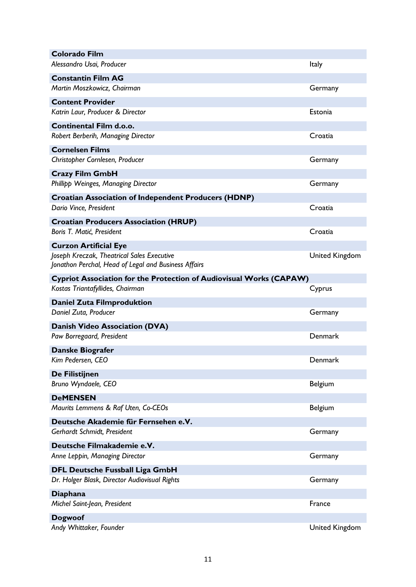| <b>Colorado Film</b><br>Alessandro Usai, Producer                   |                       |
|---------------------------------------------------------------------|-----------------------|
|                                                                     | Italy                 |
| <b>Constantin Film AG</b>                                           |                       |
| Martin Moszkowicz, Chairman                                         | Germany               |
| <b>Content Provider</b>                                             |                       |
| Katrin Laur, Producer & Director                                    | Estonia               |
| <b>Continental Film d.o.o.</b>                                      |                       |
| Robert Berberih, Managing Director                                  | Croatia               |
| <b>Cornelsen Films</b>                                              |                       |
| Christopher Cornlesen, Producer                                     | Germany               |
| <b>Crazy Film GmbH</b>                                              |                       |
| Phillipp Weinges, Managing Director                                 | Germany               |
| <b>Croatian Association of Independent Producers (HDNP)</b>         |                       |
| Dario Vince, President                                              | Croatia               |
| <b>Croatian Producers Association (HRUP)</b>                        |                       |
| Boris T. Matić, President                                           | Croatia               |
| <b>Curzon Artificial Eye</b>                                        |                       |
| Joseph Kreczak, Theatrical Sales Executive                          | <b>United Kingdom</b> |
| Jonathon Perchal, Head of Legal and Business Affairs                |                       |
| Cypriot Association for the Protection of Audiovisual Works (CAPAW) |                       |
| Kostas Triantafyllides, Chairman                                    | Cyprus                |
| Daniel Zuta Filmproduktion                                          |                       |
| Daniel Zuta, Producer                                               | Germany               |
| Danish Video Association (DVA)                                      |                       |
| Paw Borregaard, President                                           | Denmark               |
| Danske Biografer                                                    |                       |
| Kim Pedersen, CEO                                                   | Denmark               |
| De Filistijnen                                                      |                       |
| Bruno Wyndaele, CEO                                                 | <b>Belgium</b>        |
| <b>DeMENSEN</b>                                                     |                       |
| Maurits Lemmens & Raf Uten, Co-CEOs                                 | Belgium               |
| Deutsche Akademie für Fernsehen e.V.                                |                       |
| Gerhardt Schmidt, President                                         | Germany               |
| Deutsche Filmakademie e.V.                                          |                       |
| Anne Leppin, Managing Director                                      | Germany               |
| <b>DFL Deutsche Fussball Liga GmbH</b>                              |                       |
| Dr. Holger Blask, Director Audiovisual Rights                       | Germany               |
| Diaphana                                                            |                       |
| Michel Saint-Jean, President                                        | France                |
| Dogwoof                                                             |                       |
|                                                                     |                       |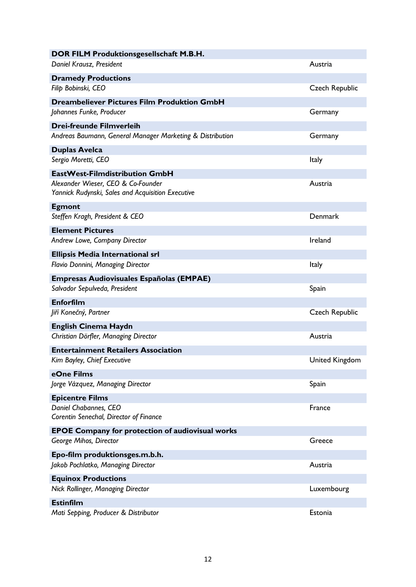| DOR FILM Produktionsgesellschaft M.B.H.                                                 |                       |
|-----------------------------------------------------------------------------------------|-----------------------|
| Daniel Krausz, President                                                                | Austria               |
| <b>Dramedy Productions</b>                                                              |                       |
| Filip Bobinski, CEO                                                                     | <b>Czech Republic</b> |
| <b>Dreambeliever Pictures Film Produktion GmbH</b>                                      |                       |
| Johannes Funke, Producer                                                                | Germany               |
| <b>Drei-freunde Filmverleih</b>                                                         |                       |
| Andreas Baumann, General Manager Marketing & Distribution                               | Germany               |
| <b>Duplas Avelca</b>                                                                    |                       |
| Sergio Moretti, CEO                                                                     | Italy                 |
| EastWest-Filmdistribution GmbH                                                          |                       |
| Alexander Wieser, CEO & Co-Founder<br>Yannick Rudynski, Sales and Acquisition Executive | Austria               |
| <b>Egmont</b>                                                                           |                       |
| Steffen Kragh, President & CEO                                                          | Denmark               |
| <b>Element Pictures</b>                                                                 |                       |
| Andrew Lowe, Company Director                                                           | Ireland               |
| <b>Ellipsis Media International srl</b>                                                 |                       |
| Flavio Donnini, Managing Director                                                       | <b>Italy</b>          |
| <b>Empresas Audiovisuales Españolas (EMPAE)</b>                                         |                       |
| Salvador Sepulveda, President                                                           | Spain                 |
| <b>Enforfilm</b>                                                                        |                       |
| Jiří Konečný, Partner                                                                   | <b>Czech Republic</b> |
| <b>English Cinema Haydn</b>                                                             |                       |
| Christian Dörfler, Managing Director                                                    | Austria               |
| <b>Entertainment Retailers Association</b>                                              |                       |
| Kim Bayley, Chief Executive                                                             | United Kingdom        |
| eOne Films                                                                              |                       |
| Jorge Vázquez, Managing Director                                                        | Spain                 |
| <b>Epicentre Films</b>                                                                  |                       |
| Daniel Chabannes, CEO<br>Corentin Senechal, Director of Finance                         | France                |
| <b>EPOE Company for protection of audiovisual works</b>                                 |                       |
| George Mihos, Director                                                                  | Greece                |
| Epo-film produktionsges.m.b.h.                                                          |                       |
| Jakob Pochlatko, Managing Director                                                      | Austria               |
| <b>Equinox Productions</b>                                                              |                       |
| Nick Rollinger, Managing Director                                                       | Luxembourg            |
| <b>Estinfilm</b>                                                                        |                       |
| Mati Sepping, Producer & Distributor                                                    | Estonia               |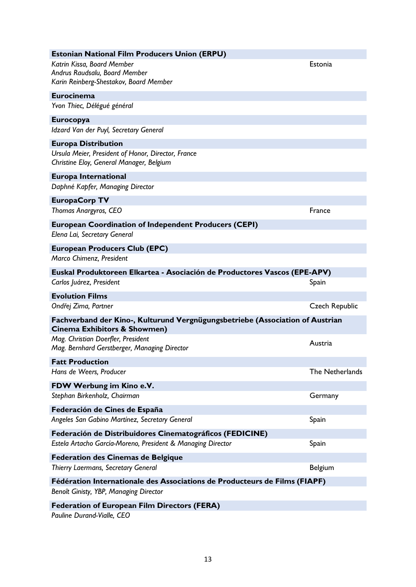| Estonian National Film Producers Union (ERPÜ)                                                                            |                 |
|--------------------------------------------------------------------------------------------------------------------------|-----------------|
| Katrin Kissa, Board Member<br>Andrus Raudsalu, Board Member<br>Karin Reinberg-Shestakov, Board Member                    | Estonia         |
| <b>Eurocinema</b>                                                                                                        |                 |
| Yvon Thiec, Délégué général                                                                                              |                 |
| <b>Eurocopya</b><br>Idzard Van der Puyl, Secretary General                                                               |                 |
| <b>Europa Distribution</b>                                                                                               |                 |
| Ursula Meier, President of Honor, Director, France<br>Christine Eloy, General Manager, Belgium                           |                 |
| <b>Europa International</b><br>Daphné Kapfer, Managing Director                                                          |                 |
| <b>EuropaCorp TV</b>                                                                                                     |                 |
| Thomas Anargyros, CEO                                                                                                    | France          |
| <b>European Coordination of Independent Producers (CEPI)</b><br>Elena Lai, Secretary General                             |                 |
| <b>European Producers Club (EPC)</b>                                                                                     |                 |
| Marco Chimenz, President                                                                                                 |                 |
| Euskal Produktoreen Elkartea - Asociación de Productores Vascos (EPE-APV)                                                |                 |
| Carlos Juárez, President                                                                                                 | Spain           |
| <b>Evolution Films</b>                                                                                                   |                 |
| Ondřej Zima, Partner                                                                                                     | Czech Republic  |
| Fachverband der Kino-, Kulturund Vergnügungsbetriebe (Association of Austrian<br><b>Cinema Exhibitors &amp; Showmen)</b> |                 |
| Mag. Christian Doerfler, President<br>Mag. Bernhard Gerstberger, Managing Director                                       | Austria         |
| <b>Fatt Production</b>                                                                                                   |                 |
| Hans de Weers, Producer                                                                                                  | The Netherlands |
| FDW Werbung im Kino e.V.                                                                                                 |                 |
| Stephan Birkenholz, Chairman                                                                                             | Germany         |
| Federación de Cines de España                                                                                            |                 |
| Angeles San Gabino Martínez, Secretary General                                                                           | Spain           |
| Federación de Distribuidores Cinematográficos (FEDICINE)                                                                 |                 |
| Estela Artacho García-Moreno, President & Managing Director                                                              | Spain           |
| <b>Federation des Cinemas de Belgique</b>                                                                                |                 |
| Thierry Laermans, Secretary General                                                                                      | Belgium         |
| Fédération Internationale des Associations de Producteurs de Films (FIAPF)                                               |                 |
| Benoît Ginisty, YBP, Managing Director                                                                                   |                 |
| <b>Federation of European Film Directors (FERA)</b>                                                                      |                 |

*Pauline Durand-Vialle, CEO*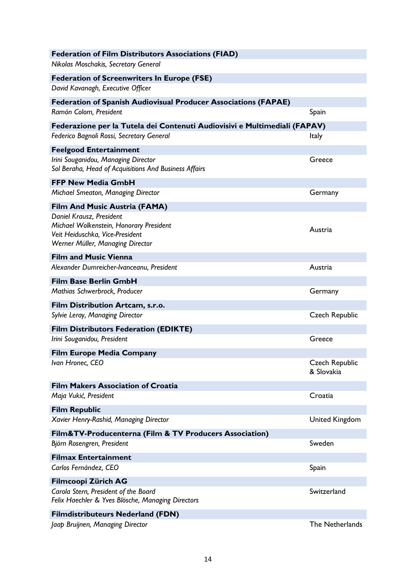| <b>Federation of Film Distributors Associations (FIAD)</b><br>Nikolas Moschakis, Secretary General |                                     |
|----------------------------------------------------------------------------------------------------|-------------------------------------|
| <b>Federation of Screenwriters In Europe (FSE)</b>                                                 |                                     |
| David Kavanagh, Executive Officer                                                                  |                                     |
| <b>Federation of Spanish Audiovisual Producer Associations (FAPAE)</b>                             |                                     |
| Ramón Colom, President                                                                             | Spain                               |
| Federazione per la Tutela dei Contenuti Audiovisivi e Multimediali (FAPAV)                         |                                     |
| Federico Bagnoli Rossi, Secretary General                                                          | <b>Italy</b>                        |
| <b>Feelgood Entertainment</b>                                                                      |                                     |
| Irini Souganidou, Managing Director<br>Sol Beraha, Head of Acquisitions And Business Affairs       | Greece                              |
| <b>FFP New Media GmbH</b>                                                                          |                                     |
| Michael Smeaton, Managing Director                                                                 | Germany                             |
| Film And Music Austria (FAMA)                                                                      |                                     |
| Daniel Krausz, President<br>Michael Wolkenstein, Honorary President                                | Austria                             |
| Veit Heiduschka, Vice-President<br>Werner Müller, Managing Director                                |                                     |
| <b>Film and Music Vienna</b>                                                                       |                                     |
| Alexander Dumreicher-Ivanceanu, President                                                          | Austria                             |
| <b>Film Base Berlin GmbH</b>                                                                       |                                     |
| Mathias Schwerbrock, Producer                                                                      | Germany                             |
| Film Distribution Artcam, s.r.o.                                                                   |                                     |
| Sylvie Leray, Managing Director                                                                    | <b>Czech Republic</b>               |
| <b>Film Distributors Federation (EDIKTE)</b>                                                       |                                     |
| Irini Souganidou, President                                                                        | Greece                              |
| <b>Film Europe Media Company</b>                                                                   |                                     |
| Ivan Hronec, CEO                                                                                   | <b>Czech Republic</b><br>& Slovakia |
| <b>Film Makers Association of Croatia</b>                                                          |                                     |
| Maja Vukić, President                                                                              | Croatia                             |
| <b>Film Republic</b>                                                                               |                                     |
| Xavier Henry-Rashid, Managing Director                                                             | <b>United Kingdom</b>               |
| Film&TV-Producenterna (Film & TV Producers Association)                                            |                                     |
| Björn Rosengren, President                                                                         | Sweden                              |
| <b>Filmax Entertainment</b><br>Carlos Fernández, CEO                                               | Spain                               |
| <b>Filmcoopi Zürich AG</b>                                                                         |                                     |
| Carola Stern, President of the Board<br>Felix Haechler & Yves Blösche, Managing Directors          | Switzerland                         |
| <b>Filmdistributeurs Nederland (FDN)</b>                                                           |                                     |
| Jaap Bruijnen, Managing Director                                                                   | The Netherlands                     |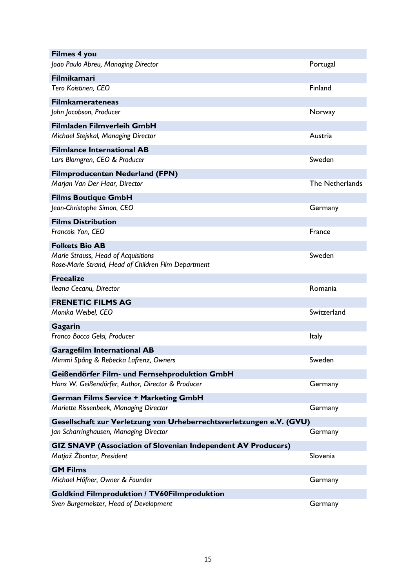| <b>Filmes 4 you</b>                                                  |                 |
|----------------------------------------------------------------------|-----------------|
| Joao Paulo Abreu, Managing Director                                  | Portugal        |
| <b>Filmikamari</b>                                                   |                 |
| Tero Koistinen, CEO                                                  | Finland         |
| <b>Filmkamerateneas</b>                                              |                 |
| John Jacobson, Producer                                              | Norway          |
| Filmladen Filmverleih GmbH                                           |                 |
| Michael Stejskal, Managing Director                                  | Austria         |
| <b>Filmlance International AB</b>                                    |                 |
| Lars Blomgren, CEO & Producer                                        | Sweden          |
| <b>Filmproducenten Nederland (FPN)</b>                               |                 |
| Marjan Van Der Haar, Director                                        | The Netherlands |
| <b>Films Boutique GmbH</b>                                           |                 |
| Jean-Christophe Simon, CEO                                           | Germany         |
| <b>Films Distribution</b>                                            |                 |
| Francois Yon, CEO                                                    | France          |
| <b>Folkets Bio AB</b>                                                |                 |
| Marie Strauss, Head of Acquisitions                                  | Sweden          |
| Rose-Marie Strand, Head of Children Film Department                  |                 |
| <b>Freealize</b>                                                     |                 |
| Ileana Cecanu, Director                                              | Romania         |
| <b>FRENETIC FILMS AG</b>                                             |                 |
| Monika Weibel, CEO                                                   | Switzerland     |
| Gagarin                                                              |                 |
| Franco Bocco Gelsi, Producer                                         | Italy           |
| <b>Garagefilm International AB</b>                                   |                 |
| Mimmi Spång & Rebecka Lafrenz, Owners                                | Sweden          |
| Geißendörfer Film- und Fernsehproduktion GmbH                        |                 |
| Hans W. Geißendörfer, Author, Director & Producer                    | Germany         |
| <b>German Films Service + Marketing GmbH</b>                         |                 |
| Mariette Rissenbeek, Managing Director                               | Germany         |
| Gesellschaft zur Verletzung von Urheberrechtsverletzungen e.V. (GVU) |                 |
| Jan Scharringhausen, Managing Director                               | Germany         |
| <b>GIZ SNAVP (Association of Slovenian Independent AV Producers)</b> |                 |
| Matjaž Žbontar, President                                            | Slovenia        |
| <b>GM Films</b>                                                      |                 |
| Michael Höfner, Owner & Founder                                      | Germany         |
| <b>Goldkind Filmproduktion / TV60Filmproduktion</b>                  |                 |
| Sven Burgemeister, Head of Development                               | Germany         |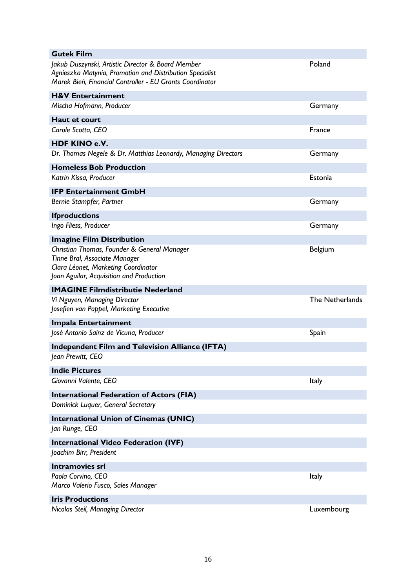| <b>Gutek Film</b>                                                                                                                                                         |                 |
|---------------------------------------------------------------------------------------------------------------------------------------------------------------------------|-----------------|
| Jakub Duszynski, Artistic Director & Board Member<br>Agnieszka Matynia, Promotion and Distribution Specialist<br>Marek Bień, Financial Controller - EU Grants Coordinator | Poland          |
| <b>H&amp;V Entertainment</b>                                                                                                                                              |                 |
| Mischa Hofmann, Producer                                                                                                                                                  | Germany         |
| <b>Haut et court</b>                                                                                                                                                      |                 |
| Carole Scotta, CEO                                                                                                                                                        | France          |
| <b>HDF KINO e.V.</b>                                                                                                                                                      |                 |
| Dr. Thomas Negele & Dr. Matthias Leonardy, Managing Directors                                                                                                             | Germany         |
| <b>Homeless Bob Production</b>                                                                                                                                            |                 |
| Katrin Kissa, Producer                                                                                                                                                    | Estonia         |
| <b>IFP Entertainment GmbH</b>                                                                                                                                             |                 |
| Bernie Stampfer, Partner                                                                                                                                                  | Germany         |
| <b>Ifproductions</b>                                                                                                                                                      |                 |
| Ingo Fliess, Producer                                                                                                                                                     | Germany         |
| <b>Imagine Film Distribution</b>                                                                                                                                          |                 |
| Christian Thomas, Founder & General Manager<br>Tinne Bral, Associate Manager<br>Clara Léonet, Marketing Coordinator<br>Joan Aguilar, Acquisition and Production           | Belgium         |
|                                                                                                                                                                           |                 |
| <b>IMAGINE Filmdistributie Nederland</b>                                                                                                                                  |                 |
| Vi Nguyen, Managing Director<br>Josefien van Poppel, Marketing Executive                                                                                                  | The Netherlands |
| Impala Entertainment                                                                                                                                                      |                 |
| José Antonio Sainz de Vicuna, Producer                                                                                                                                    | Spain           |
| <b>Independent Film and Television Alliance (IFTA)</b>                                                                                                                    |                 |
| Jean Prewitt, CEO                                                                                                                                                         |                 |
| <b>Indie Pictures</b>                                                                                                                                                     |                 |
| Giovanni Valente, CEO                                                                                                                                                     | <b>Italy</b>    |
| <b>International Federation of Actors (FIA)</b>                                                                                                                           |                 |
| Dominick Luquer, General Secretary                                                                                                                                        |                 |
| <b>International Union of Cinemas (UNIC)</b>                                                                                                                              |                 |
| Jan Runge, CEO                                                                                                                                                            |                 |
| <b>International Video Federation (IVF)</b>                                                                                                                               |                 |
| Joachim Birr, President                                                                                                                                                   |                 |
| <b>Intramovies srl</b>                                                                                                                                                    |                 |
| Paola Corvino, CEO                                                                                                                                                        | Italy           |
| Marco Valerio Fusco, Sales Manager                                                                                                                                        |                 |
| <b>Iris Productions</b><br>Nicolas Steil, Managing Director                                                                                                               | Luxembourg      |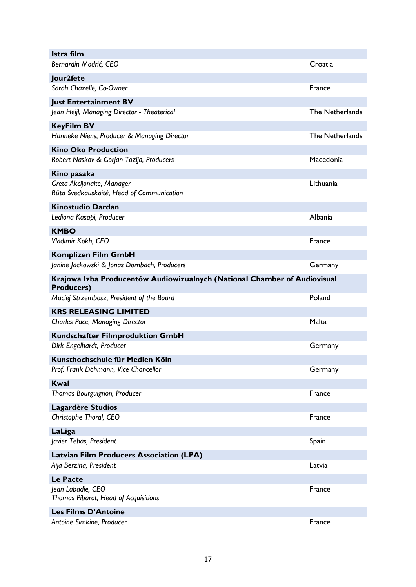| Istra film                                                                                     |                 |
|------------------------------------------------------------------------------------------------|-----------------|
| Bernardin Modrić, CEO                                                                          | Croatia         |
| Jour2fete                                                                                      |                 |
| Sarah Chazelle, Co-Owner                                                                       | France          |
| <b>Just Entertainment BV</b>                                                                   |                 |
| Jean Heijl, Managing Director - Theaterical                                                    | The Netherlands |
| <b>KeyFilm BV</b>                                                                              |                 |
| Hanneke Niens, Producer & Managing Director                                                    | The Netherlands |
| <b>Kino Oko Production</b>                                                                     |                 |
| Robert Naskov & Gorjan Tozija, Producers                                                       | Macedonia       |
| Kino pasaka                                                                                    |                 |
| Greta Akcijonaite, Manager<br>Rūta Švedkauskaitė, Head of Communication                        | Lithuania       |
| <b>Kinostudio Dardan</b>                                                                       |                 |
| Lediona Kasapi, Producer                                                                       | Albania         |
| <b>KMBO</b>                                                                                    |                 |
| Vladimir Kokh, CEO                                                                             | France          |
| <b>Komplizen Film GmbH</b>                                                                     |                 |
| Janine Jackowski & Jonas Dornbach, Producers                                                   | Germany         |
| Krajowa Izba Producentów Audiowizualnych (National Chamber of Audiovisual<br><b>Producers)</b> |                 |
| Maciej Strzembosz, President of the Board                                                      | Poland          |
| <b>KRS RELEASING LIMITED</b>                                                                   |                 |
| <b>Charles Pace, Managing Director</b>                                                         | Malta           |
| <b>Kundschafter Filmproduktion GmbH</b>                                                        |                 |
| Dirk Engelhardt, Producer                                                                      | Germany         |
| Kunsthochschule für Medien Köln                                                                |                 |
| Prof. Frank Döhmann, Vice Chancellor                                                           | Germany         |
| Kwai                                                                                           |                 |
| Thomas Bourguignon, Producer                                                                   | France          |
| Lagardère Studios                                                                              |                 |
| Christophe Thoral, CEO                                                                         | France          |
| LaLiga                                                                                         |                 |
| Javier Tebas, President                                                                        | Spain           |
| <b>Latvian Film Producers Association (LPA)</b>                                                |                 |
| Aija Berzina, President                                                                        | Latvia          |
| <b>Le Pacte</b>                                                                                |                 |
| Jean Labadie, CEO<br>Thomas Pibarot, Head of Acquisitions                                      | France          |
| <b>Les Films D'Antoine</b>                                                                     |                 |
| Antoine Simkine, Producer                                                                      | France          |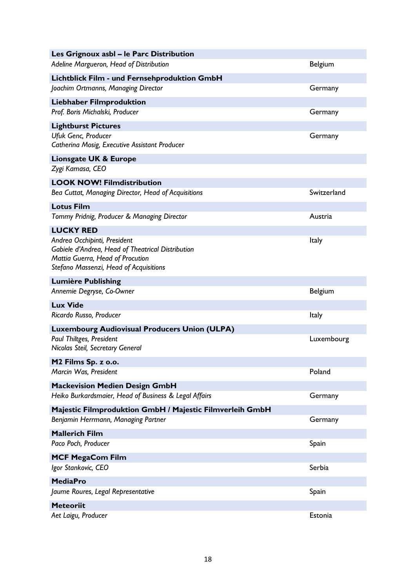| Les Grignoux asbl - le Parc Distribution                                                                                                                        |                |
|-----------------------------------------------------------------------------------------------------------------------------------------------------------------|----------------|
| Adeline Margueron, Head of Distribution                                                                                                                         | <b>Belgium</b> |
| Lichtblick Film - und Fernsehproduktion GmbH                                                                                                                    |                |
| Joachim Ortmanns, Managing Director                                                                                                                             | Germany        |
| <b>Liebhaber Filmproduktion</b>                                                                                                                                 |                |
| Prof. Boris Michalski, Producer                                                                                                                                 | Germany        |
| <b>Lightburst Pictures</b>                                                                                                                                      |                |
| Ufuk Genc, Producer<br>Catherina Mosig, Executive Assistant Producer                                                                                            | Germany        |
| Lionsgate UK & Europe                                                                                                                                           |                |
| Zygi Kamasa, CEO                                                                                                                                                |                |
| <b>LOOK NOW! Filmdistribution</b><br>Bea Cuttat, Managing Director, Head of Acquisitions                                                                        | Switzerland    |
| <b>Lotus Film</b>                                                                                                                                               |                |
| Tommy Pridnig, Producer & Managing Director                                                                                                                     | Austria        |
| <b>LUCKY RED</b>                                                                                                                                                |                |
| Andrea Occhipinti, President<br>Gabiele d'Andrea, Head of Theatrical Distribution<br>Mattia Guerra, Head of Procution<br>Stefano Massenzi, Head of Acquisitions | Italy          |
| <b>Lumière Publishing</b><br>Annemie Degryse, Co-Owner                                                                                                          | <b>Belgium</b> |
| <b>Lux Vide</b>                                                                                                                                                 |                |
| Ricardo Russo, Producer                                                                                                                                         | Italy          |
| <b>Luxembourg Audiovisual Producers Union (ULPA)</b>                                                                                                            |                |
| Paul Thiltges, President<br>Nicolas Steil, Secretary General                                                                                                    | Luxembourg     |
| M2 Films Sp. z o.o.                                                                                                                                             |                |
| Marcin Was, President                                                                                                                                           | Poland         |
| <b>Mackevision Medien Design GmbH</b>                                                                                                                           |                |
| Heiko Burkardsmaier, Head of Business & Legal Affairs                                                                                                           | Germany        |
| Majestic Filmproduktion GmbH / Majestic Filmverleih GmbH                                                                                                        |                |
| Benjamin Herrmann, Managing Partner                                                                                                                             | Germany        |
| <b>Mallerich Film</b>                                                                                                                                           |                |
| Paco Poch, Producer                                                                                                                                             | Spain          |
| MCF MegaCom Film                                                                                                                                                |                |
| Igor Stankovic, CEO                                                                                                                                             | Serbia         |
| <b>MediaPro</b>                                                                                                                                                 |                |
| Jaume Roures, Legal Representative                                                                                                                              | Spain          |
| <b>Meteoriit</b>                                                                                                                                                |                |
| Aet Laigu, Producer                                                                                                                                             | Estonia        |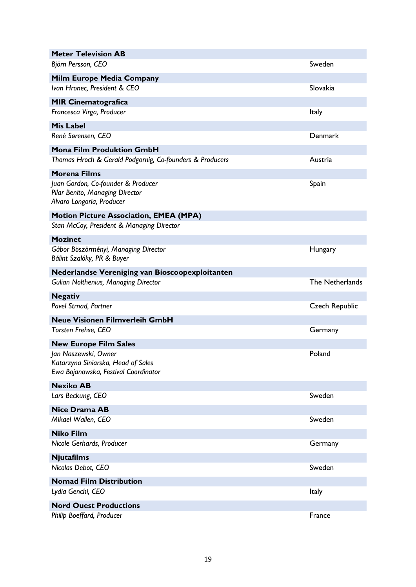| <b>Meter Television AB</b>                                                                         |                       |
|----------------------------------------------------------------------------------------------------|-----------------------|
| Björn Persson, CEO                                                                                 | Sweden                |
| Milm Europe Media Company                                                                          |                       |
| Ivan Hronec, President & CEO                                                                       | Slovakia              |
| <b>MIR Cinematografica</b>                                                                         |                       |
| Francesca Virga, Producer                                                                          | Italy                 |
| <b>Mis Label</b>                                                                                   |                       |
| René Sørensen, CEO                                                                                 | Denmark               |
| <b>Mona Film Produktion GmbH</b>                                                                   |                       |
| Thomas Hroch & Gerald Podgornig, Co-founders & Producers                                           | Austria               |
| <b>Morena Films</b>                                                                                |                       |
| Juan Gordon, Co-founder & Producer<br>Pilar Benito, Managing Director<br>Alvaro Longoria, Producer | Spain                 |
| <b>Motion Picture Association, EMEA (MPA)</b>                                                      |                       |
| Stan McCoy, President & Managing Director                                                          |                       |
| <b>Mozinet</b>                                                                                     |                       |
| Gábor Böszörményi, Managing Director<br>Bálint Szalóky, PR & Buyer                                 | Hungary               |
| <b>Nederlandse Vereniging van Bioscoopexploitanten</b>                                             |                       |
| Gulian Nolthenius, Managing Director                                                               | The Netherlands       |
| <b>Negativ</b>                                                                                     |                       |
| Pavel Strnad, Partner                                                                              | <b>Czech Republic</b> |
| <b>Neue Visionen Filmverleih GmbH</b>                                                              |                       |
| Torsten Frehse, CEO                                                                                | Germany               |
| <b>New Europe Film Sales</b>                                                                       |                       |
| Jan Naszewski, Owner<br>Katarzyna Siniarska, Head of Sales<br>Ewa Bojanowska, Festival Coordinator | Poland                |
| <b>Nexiko AB</b>                                                                                   |                       |
| Lars Beckung, CEO                                                                                  | Sweden                |
| <b>Nice Drama AB</b>                                                                               |                       |
| Mikael Wallen, CEO                                                                                 | Sweden                |
| <b>Niko Film</b>                                                                                   |                       |
| Nicole Gerhards, Producer                                                                          | Germany               |
| <b>Njutafilms</b>                                                                                  |                       |
| Nicolas Debot, CEO                                                                                 | Sweden                |
| <b>Nomad Film Distribution</b>                                                                     |                       |
| Lydia Genchi, CEO                                                                                  | <b>Italy</b>          |
| <b>Nord Ouest Productions</b>                                                                      |                       |
| Philip Boeffard, Producer                                                                          | France                |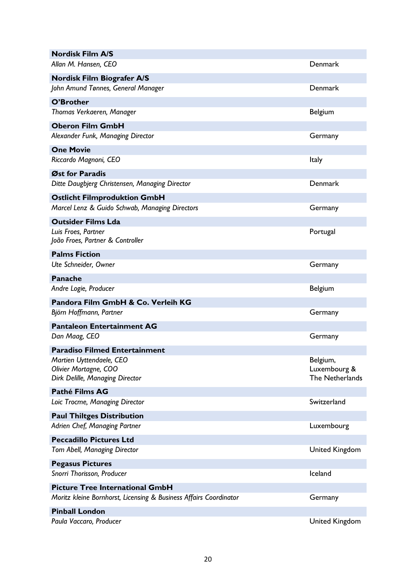| <b>Nordisk Film A/S</b>                                                              |                                             |
|--------------------------------------------------------------------------------------|---------------------------------------------|
| Allan M. Hansen, CEO                                                                 | Denmark                                     |
| Nordisk Film Biografer A/S                                                           |                                             |
| John Amund Tønnes, General Manager                                                   | Denmark                                     |
| O'Brother                                                                            |                                             |
| Thomas Verkaeren, Manager                                                            | Belgium                                     |
| <b>Oberon Film GmbH</b>                                                              |                                             |
| Alexander Funk, Managing Director                                                    | Germany                                     |
| <b>One Movie</b>                                                                     |                                             |
| Riccardo Magnoni, CEO                                                                | Italy                                       |
| Øst for Paradis<br>Ditte Daugbjerg Christensen, Managing Director                    | <b>Denmark</b>                              |
| <b>Ostlicht Filmproduktion GmbH</b>                                                  |                                             |
| Marcel Lenz & Guido Schwab, Managing Directors                                       | Germany                                     |
| <b>Outsider Films Lda</b>                                                            |                                             |
| Luis Froes, Partner<br>João Froes, Partner & Controller                              | Portugal                                    |
| <b>Palms Fiction</b>                                                                 |                                             |
| Ute Schneider, Owner                                                                 | Germany                                     |
| <b>Panache</b>                                                                       |                                             |
| Andre Logie, Producer                                                                | Belgium                                     |
| Pandora Film GmbH & Co. Verleih KG                                                   |                                             |
| Björn Hoffmann, Partner                                                              | Germany                                     |
| <b>Pantaleon Entertainment AG</b>                                                    |                                             |
| Dan Maag, CEO                                                                        | Germany                                     |
| <b>Paradiso Filmed Entertainment</b>                                                 |                                             |
| Martien Uyttendaele, CEO<br>Olivier Mortagne, COO<br>Dirk Delille, Managing Director | Belgium,<br>Luxembourg &<br>The Netherlands |
| Pathé Films AG                                                                       |                                             |
| Loic Trocme, Managing Director                                                       | Switzerland                                 |
| <b>Paul Thiltges Distribution</b>                                                    |                                             |
| Adrien Chef, Managing Partner                                                        | Luxembourg                                  |
| <b>Peccadillo Pictures Ltd</b>                                                       |                                             |
| <b>Tom Abell, Managing Director</b>                                                  | <b>United Kingdom</b>                       |
| <b>Pegasus Pictures</b><br>Snorri Thorisson, Producer                                | Iceland                                     |
| <b>Picture Tree International GmbH</b>                                               |                                             |
| Moritz kleine Bornhorst, Licensing & Business Affairs Coordinator                    | Germany                                     |
| <b>Pinball London</b>                                                                |                                             |
| Paula Vaccaro, Producer                                                              | <b>United Kingdom</b>                       |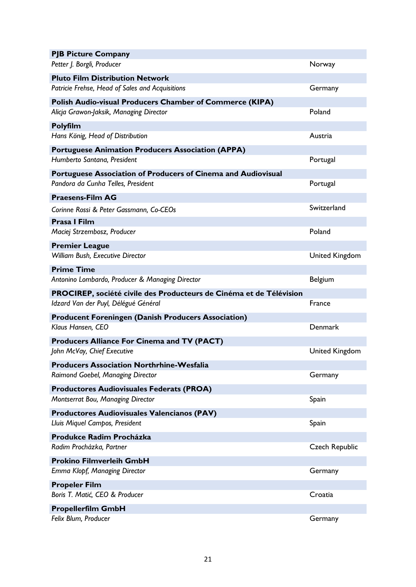| <b>PJB Picture Company</b>                                                                          |                       |
|-----------------------------------------------------------------------------------------------------|-----------------------|
| Petter J. Borgli, Producer                                                                          | Norway                |
| <b>Pluto Film Distribution Network</b>                                                              |                       |
| Patricie Frehse, Head of Sales and Acquisitions                                                     | Germany               |
| Polish Audio-visual Producers Chamber of Commerce (KIPA)                                            |                       |
| Alicja Grawon-Jaksik, Managing Director                                                             | Poland                |
| Polyfilm                                                                                            |                       |
| Hans König, Head of Distribution                                                                    | Austria               |
| <b>Portuguese Animation Producers Association (APPA)</b>                                            |                       |
| Humberto Santana, President                                                                         | Portugal              |
| Portuguese Association of Producers of Cinema and Audiovisual<br>Pandora da Cunha Telles, President | Portugal              |
| <b>Praesens-Film AG</b>                                                                             |                       |
| Corinne Rossi & Peter Gassmann, Co-CEOs                                                             | Switzerland           |
| <b>Prasa I Film</b>                                                                                 |                       |
| Maciej Strzembosz, Producer                                                                         | Poland                |
| <b>Premier League</b>                                                                               |                       |
| William Bush, Executive Director                                                                    | <b>United Kingdom</b> |
| <b>Prime Time</b>                                                                                   |                       |
| Antonino Lombardo, Producer & Managing Director                                                     | Belgium               |
| PROCIREP, société civile des Producteurs de Cinéma et de Télévision                                 |                       |
| Idzard Van der Puyl, Délégué Général                                                                | France                |
| <b>Producent Foreningen (Danish Producers Association)</b>                                          |                       |
| Klaus Hansen, CEO                                                                                   | Denmark               |
| <b>Producers Alliance For Cinema and TV (PACT)</b><br>John McVay, Chief Executive                   | <b>United Kingdom</b> |
| <b>Producers Association Northrhine-Wesfalia</b>                                                    |                       |
| Raimond Goebel, Managing Director                                                                   | Germany               |
| <b>Productores Audiovisuales Federats (PROA)</b>                                                    |                       |
| Montserrat Bou, Managing Director                                                                   | Spain                 |
| Productores Audiovisuales Valencianos (PAV)                                                         |                       |
| Lluis Miquel Campos, President                                                                      | Spain                 |
| Produkce Radim Procházka                                                                            |                       |
| Radim Procházka, Partner                                                                            | <b>Czech Republic</b> |
| <b>Prokino Filmverleih GmbH</b>                                                                     |                       |
| Emma Klopf, Managing Director                                                                       | Germany               |
| <b>Propeler Film</b>                                                                                |                       |
| Boris T. Matić, CEO & Producer                                                                      | Croatia               |
| <b>Propellerfilm GmbH</b>                                                                           |                       |
| Felix Blum, Producer                                                                                | Germany               |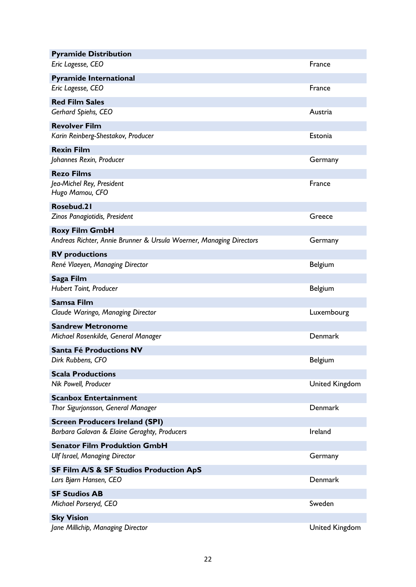| <b>Pyramide Distribution</b>                                        |                       |
|---------------------------------------------------------------------|-----------------------|
| Eric Lagesse, CEO                                                   | France                |
| <b>Pyramide International</b>                                       |                       |
| Eric Lagesse, CEO                                                   | France                |
| <b>Red Film Sales</b>                                               |                       |
| Gerhard Spiehs, CEO                                                 | Austria               |
| <b>Revolver Film</b>                                                |                       |
| Karin Reinberg-Shestakov, Producer                                  | Estonia               |
| <b>Rexin Film</b>                                                   |                       |
| Johannes Rexin, Producer                                            | Germany               |
| <b>Rezo Films</b>                                                   |                       |
| Jea-Michel Rey, President<br>Hugo Mamou, CFO                        | France                |
| Rosebud.21                                                          |                       |
| Zinos Panagiotidis, President                                       | Greece                |
| <b>Roxy Film GmbH</b>                                               |                       |
| Andreas Richter, Annie Brunner & Ursula Woerner, Managing Directors | Germany               |
| <b>RV</b> productions                                               |                       |
| René Vlaeyen, Managing Director                                     | Belgium               |
| Saga Film                                                           |                       |
| Hubert Toint, Producer                                              | Belgium               |
| Samsa Film                                                          |                       |
| Claude Waringo, Managing Director                                   | Luxembourg            |
| <b>Sandrew Metronome</b>                                            |                       |
| Michael Rosenkilde, General Manager                                 | Denmark               |
| Santa Fé Productions NV                                             |                       |
| Dirk Rubbens, CFO                                                   | <b>Belgium</b>        |
| <b>Scala Productions</b>                                            |                       |
| Nik Powell, Producer                                                | <b>United Kingdom</b> |
| <b>Scanbox Entertainment</b>                                        |                       |
| Thor Sigurjonsson, General Manager                                  | Denmark               |
| <b>Screen Producers Ireland (SPI)</b>                               |                       |
| Barbara Galavan & Elaine Geraghty, Producers                        | Ireland               |
| <b>Senator Film Produktion GmbH</b>                                 |                       |
| <b>Ulf Israel, Managing Director</b>                                | Germany               |
| <b>SF Film A/S &amp; SF Studios Production ApS</b>                  |                       |
| Lars Bjørn Hansen, CEO                                              | Denmark               |
| <b>SF Studios AB</b>                                                |                       |
| Michael Porseryd, CEO                                               | Sweden                |
| <b>Sky Vision</b>                                                   |                       |
| Jane Millichip, Managing Director                                   | <b>United Kingdom</b> |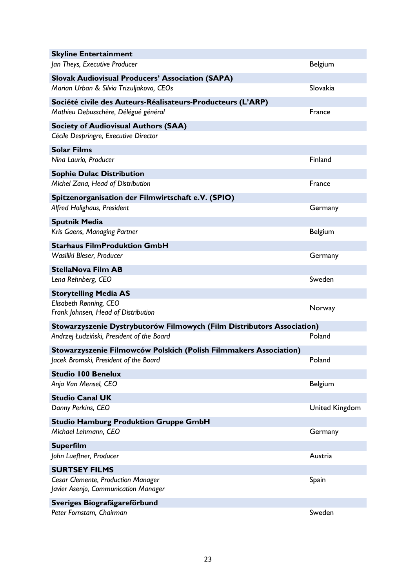| <b>Skyline Entertainment</b>                                               |                       |
|----------------------------------------------------------------------------|-----------------------|
| Jan Theys, Executive Producer                                              | Belgium               |
| <b>Slovak Audiovisual Producers' Association (SAPA)</b>                    |                       |
| Marian Urban & Silvia Trizuljakova, CEOs                                   | Slovakia              |
| Société civile des Auteurs-Réalisateurs-Producteurs (L'ARP)                |                       |
| Mathieu Debusschère, Délégué général                                       | France                |
| <b>Society of Audiovisual Authors (SAA)</b>                                |                       |
| Cécile Despringre, Executive Director                                      |                       |
| <b>Solar Films</b>                                                         |                       |
| Nina Laurio, Producer                                                      | Finland               |
| <b>Sophie Dulac Distribution</b>                                           |                       |
| Michel Zana, Head of Distribution                                          | France                |
| Spitzenorganisation der Filmwirtschaft e.V. (SPIO)                         |                       |
| Alfred Holighaus, President                                                | Germany               |
| <b>Sputnik Media</b>                                                       |                       |
| Kris Gaens, Managing Partner                                               | Belgium               |
| <b>Starhaus FilmProduktion GmbH</b>                                        |                       |
| Wasiliki Bleser, Producer                                                  | Germany               |
| <b>StellaNova Film AB</b>                                                  |                       |
| Lena Rehnberg, CEO                                                         | Sweden                |
| <b>Storytelling Media AS</b>                                               |                       |
| Elisabeth Rønning, CEO<br>Frank Johnsen, Head of Distribution              | Norway                |
| Stowarzyszenie Dystrybutorów Filmowych (Film Distributors Association)     |                       |
| Andrzej Łudziński, President of the Board                                  | Poland                |
| Stowarzyszenie Filmowców Polskich (Polish Filmmakers Association)          |                       |
| Jacek Bromski, President of the Board                                      | Poland                |
| <b>Studio 100 Benelux</b>                                                  |                       |
| Anja Van Mensel, CEO                                                       | Belgium               |
| <b>Studio Canal UK</b>                                                     |                       |
| Danny Perkins, CEO                                                         | <b>United Kingdom</b> |
| <b>Studio Hamburg Produktion Gruppe GmbH</b>                               |                       |
| Michael Lehmann, CEO                                                       | Germany               |
| <b>Superfilm</b>                                                           |                       |
| John Lueftner, Producer                                                    | Austria               |
| <b>SURTSEY FILMS</b>                                                       |                       |
| Cesar Clemente, Production Manager<br>Javier Asenjo, Communication Manager | Spain                 |
| Sveriges Biografägareförbund                                               |                       |
|                                                                            |                       |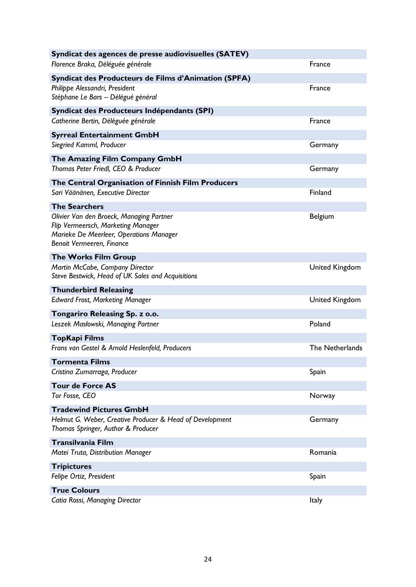| Syndicat des agences de presse audiovisuelles (SATEV)                                                                                                  |                       |
|--------------------------------------------------------------------------------------------------------------------------------------------------------|-----------------------|
| Florence Braka, Déléguée générale                                                                                                                      | France                |
| Syndicat des Producteurs de Films d'Animation (SPFA)                                                                                                   |                       |
| Philippe Alessandri, President<br>Stéphane Le Bars - Délégué général                                                                                   | France                |
| Syndicat des Producteurs Indépendants (SPI)                                                                                                            |                       |
| Catherine Bertin, Déléguée générale                                                                                                                    | France                |
| <b>Syrreal Entertainment GmbH</b>                                                                                                                      |                       |
| Siegried Kamml, Producer                                                                                                                               | Germany               |
| The Amazing Film Company GmbH                                                                                                                          |                       |
| Thomas Peter Friedl, CEO & Producer                                                                                                                    | Germany               |
| The Central Organisation of Finnish Film Producers                                                                                                     |                       |
| Sari Väänänen, Executive Director                                                                                                                      | Finland               |
| <b>The Searchers</b>                                                                                                                                   |                       |
| Olivier Van den Broeck, Managing Partner<br>Flip Vermeersch, Marketing Manager<br>Marieke De Meerleer, Operations Manager<br>Benoit Vermeeren, Finance | Belgium               |
| <b>The Works Film Group</b>                                                                                                                            |                       |
| Martin McCabe, Company Director<br>Steve Bestwick, Head of UK Sales and Acquisitions                                                                   | United Kingdom        |
| <b>Thunderbird Releasing</b>                                                                                                                           |                       |
| <b>Edward Frost, Marketing Manager</b>                                                                                                                 | <b>United Kingdom</b> |
| Tongariro Releasing Sp. z o.o.                                                                                                                         |                       |
| Leszek Masłowski, Managing Partner                                                                                                                     | Poland                |
| <b>TopKapi Films</b><br>Frans van Gestel & Arnold Heslenfeld, Producers                                                                                | The Netherlands       |
| <b>Tormenta Films</b>                                                                                                                                  |                       |
| Cristina Zumarraga, Producer                                                                                                                           | Spain                 |
| <b>Tour de Force AS</b>                                                                                                                                |                       |
| Tor Fosse, CEO                                                                                                                                         | Norway                |
| <b>Tradewind Pictures GmbH</b>                                                                                                                         |                       |
| Helmut G. Weber, Creative Producer & Head of Development<br>Thomas Springer, Author & Producer                                                         | Germany               |
| Transilvania Film                                                                                                                                      |                       |
| Matei Truta, Distribution Manager                                                                                                                      | Romania               |
| <b>Tripictures</b>                                                                                                                                     |                       |
| Felipe Ortiz, President                                                                                                                                | Spain                 |
| <b>True Colours</b>                                                                                                                                    |                       |
| Catia Rossi, Managing Director                                                                                                                         | <b>Italy</b>          |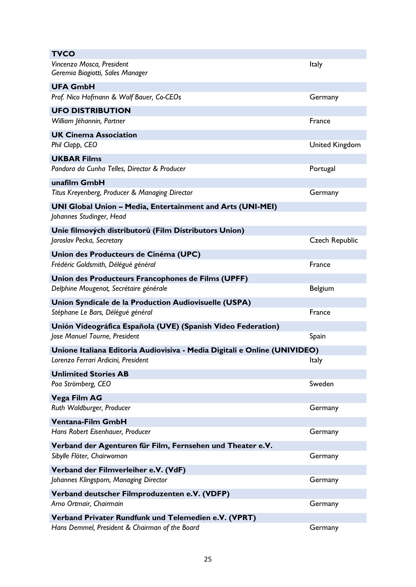| <b>TVCO</b>                                                                            |                       |
|----------------------------------------------------------------------------------------|-----------------------|
| Vincenzo Mosca, President<br>Geremia Biagiotti, Sales Manager                          | Italy                 |
| <b>UFA GmbH</b>                                                                        |                       |
| Prof. Nico Hofmann & Wolf Bauer, Co-CEOs                                               | Germany               |
| <b>UFO DISTRIBUTION</b>                                                                |                       |
| William Jéhannin, Partner                                                              | France                |
| <b>UK Cinema Association</b>                                                           |                       |
| Phil Clapp, CEO                                                                        | <b>United Kingdom</b> |
| <b>UKBAR Films</b>                                                                     |                       |
| Pandora da Cunha Telles, Director & Producer                                           | Portugal              |
| unafilm GmbH                                                                           |                       |
| Titus Kreyenberg, Producer & Managing Director                                         | Germany               |
| UNI Global Union - Media, Entertainment and Arts (UNI-MEI)<br>Johannes Studinger, Head |                       |
| Unie filmových distributorů (Film Distributors Union)                                  |                       |
| Jaroslav Pecka, Secretary                                                              | <b>Czech Republic</b> |
| Union des Producteurs de Cinéma (UPC)                                                  |                       |
| Frédéric Goldsmith, Délégué général                                                    | France                |
| Union des Producteurs Francophones de Films (UPFF)                                     |                       |
| Delphine Mougenot, Secrétaire générale                                                 | Belgium               |
| Union Syndicale de la Production Audiovisuelle (USPA)                                  |                       |
| Stéphane Le Bars, Délégué général                                                      |                       |
|                                                                                        | France                |
| Unión Videográfica Española (UVE) (Spanish Video Federation)                           |                       |
| Jose Manuel Tourne, President                                                          | Spain                 |
| Unione Italiana Editoria Audiovisiva - Media Digitali e Online (UNIVIDEO)              |                       |
| Lorenzo Ferrari Ardicini, President                                                    | Italy                 |
| <b>Unlimited Stories AB</b>                                                            |                       |
| Poa Strömberg, CEO                                                                     | Sweden                |
| Vega Film AG                                                                           |                       |
| Ruth Waldburger, Producer                                                              | Germany               |
| <b>Ventana-Film GmbH</b>                                                               |                       |
| Hans Robert Eisenhauer, Producer                                                       | Germany               |
| Verband der Agenturen für Film, Fernsehen und Theater e.V.                             |                       |
| Sibylle Flöter, Chairwoman                                                             | Germany               |
| Verband der Filmverleiher e.V. (VdF)                                                   |                       |
| Johannes Klingsporn, Managing Director                                                 | Germany               |
| Verband deutscher Filmproduzenten e.V. (VDFP)                                          |                       |
| Arno Ortmair, Chairmain                                                                | Germany               |
| Verband Privater Rundfunk und Telemedien e.V. (VPRT)                                   |                       |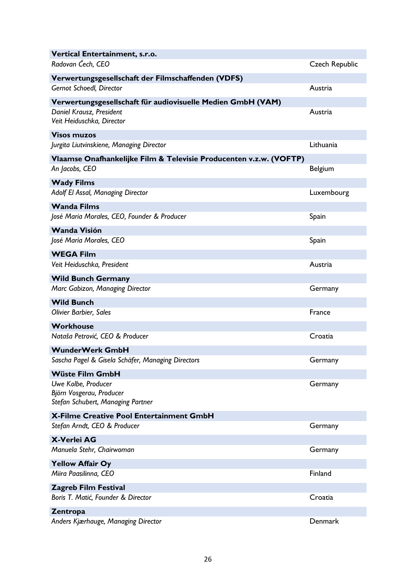| Vertical Entertainment, s.r.o.                                                       |                       |
|--------------------------------------------------------------------------------------|-----------------------|
| Radovan Čech, CEO                                                                    | <b>Czech Republic</b> |
| Verwertungsgesellschaft der Filmschaffenden (VDFS)                                   |                       |
| Gernot Schoedl, Director                                                             | Austria               |
| Verwertungsgesellschaft für audiovisuelle Medien GmbH (VAM)                          |                       |
| Daniel Krausz, President<br>Veit Heiduschka, Director                                | Austria               |
| <b>Visos muzos</b><br>Jurgita Liutvinskiene, Managing Director                       | Lithuania             |
| Vlaamse Onafhankelijke Film & Televisie Producenten v.z.w. (VOFTP)                   |                       |
| An Jacobs, CEO                                                                       | <b>Belgium</b>        |
| <b>Wady Films</b>                                                                    |                       |
| Adolf El Assal, Managing Director                                                    | Luxembourg            |
| <b>Wanda Films</b>                                                                   |                       |
| José Maria Morales, CEO, Founder & Producer                                          | Spain                 |
| <b>Wanda Visión</b>                                                                  |                       |
| José María Morales, CEO                                                              | Spain                 |
| <b>WEGA Film</b>                                                                     |                       |
| Veit Heiduschka, President                                                           | Austria               |
| <b>Wild Bunch Germany</b>                                                            |                       |
| Marc Gabizon, Managing Director                                                      | Germany               |
| <b>Wild Bunch</b>                                                                    |                       |
| Olivier Barbier, Sales                                                               | France                |
| <b>Workhouse</b>                                                                     |                       |
| Nataša Petrović, CEO & Producer                                                      | Croatia               |
| <b>WunderWerk GmbH</b>                                                               |                       |
| Sascha Pagel & Gisela Schäfer, Managing Directors                                    | Germany               |
| <b>Wüste Film GmbH</b>                                                               |                       |
| Uwe Kolbe, Producer<br>Björn Vosgerau, Producer<br>Stefan Schubert, Managing Partner | Germany               |
| X-Filme Creative Pool Entertainment GmbH                                             |                       |
| Stefan Arndt, CEO & Producer                                                         | Germany               |
| <b>X-Verlei AG</b>                                                                   |                       |
| Manuela Stehr, Chairwoman                                                            | Germany               |
| <b>Yellow Affair Oy</b>                                                              |                       |
| Miira Paasilinna, CEO                                                                | Finland               |
| <b>Zagreb Film Festival</b>                                                          |                       |
| Boris T. Matić, Founder & Director                                                   | Croatia               |
| Zentropa                                                                             |                       |
| Anders Kjærhauge, Managing Director                                                  | Denmark               |